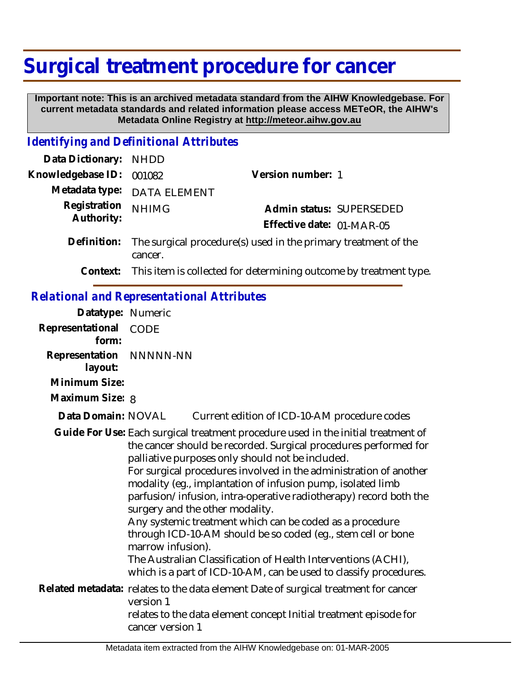## **Surgical treatment procedure for cancer**

 **Important note: This is an archived metadata standard from the AIHW Knowledgebase. For current metadata standards and related information please access METeOR, the AIHW's Metadata Online Registry at http://meteor.aihw.gov.au**

## *Identifying and Definitional Attributes*

| Data Dictionary: NHDD      |                                                                           |                                                                            |
|----------------------------|---------------------------------------------------------------------------|----------------------------------------------------------------------------|
| Knowledgebase ID:          | 001082                                                                    | Version number: 1                                                          |
|                            | Metadata type: DATA ELEMENT                                               |                                                                            |
| Registration<br>Authority: | <b>NHIMG</b>                                                              | Admin status: SUPERSEDED                                                   |
|                            |                                                                           | Effective date: 01-MAR-05                                                  |
| Definition:                | The surgical procedure(s) used in the primary treatment of the<br>cancer. |                                                                            |
|                            |                                                                           | Context: This item is collected for determining outcome by treatment type. |
|                            |                                                                           |                                                                            |

## *Relational and Representational Attributes*

| Datatype: Numeric                  |                               |                                                                                                                                                                                                                                                                                                                                                                                                                                                                                                                                                                                                                                                                                                                         |
|------------------------------------|-------------------------------|-------------------------------------------------------------------------------------------------------------------------------------------------------------------------------------------------------------------------------------------------------------------------------------------------------------------------------------------------------------------------------------------------------------------------------------------------------------------------------------------------------------------------------------------------------------------------------------------------------------------------------------------------------------------------------------------------------------------------|
| Representational<br>form:          | CODE                          |                                                                                                                                                                                                                                                                                                                                                                                                                                                                                                                                                                                                                                                                                                                         |
| Representation NNNNN-NN<br>layout: |                               |                                                                                                                                                                                                                                                                                                                                                                                                                                                                                                                                                                                                                                                                                                                         |
| Minimum Size:                      |                               |                                                                                                                                                                                                                                                                                                                                                                                                                                                                                                                                                                                                                                                                                                                         |
| Maximum Size: 8                    |                               |                                                                                                                                                                                                                                                                                                                                                                                                                                                                                                                                                                                                                                                                                                                         |
| Data Domain: NOVAL                 |                               | Current edition of ICD-10-AM procedure codes                                                                                                                                                                                                                                                                                                                                                                                                                                                                                                                                                                                                                                                                            |
|                                    | marrow infusion).             | Guide For Use: Each surgical treatment procedure used in the initial treatment of<br>the cancer should be recorded. Surgical procedures performed for<br>palliative purposes only should not be included.<br>For surgical procedures involved in the administration of another<br>modality (eg., implantation of infusion pump, isolated limb<br>parfusion/infusion, intra-operative radiotherapy) record both the<br>surgery and the other modality.<br>Any systemic treatment which can be coded as a procedure<br>through ICD-10-AM should be so coded (eg., stem cell or bone<br>The Australian Classification of Health Interventions (ACHI),<br>which is a part of ICD-10-AM, can be used to classify procedures. |
|                                    | version 1<br>cancer version 1 | Related metadata: relates to the data element Date of surgical treatment for cancer<br>relates to the data element concept Initial treatment episode for                                                                                                                                                                                                                                                                                                                                                                                                                                                                                                                                                                |